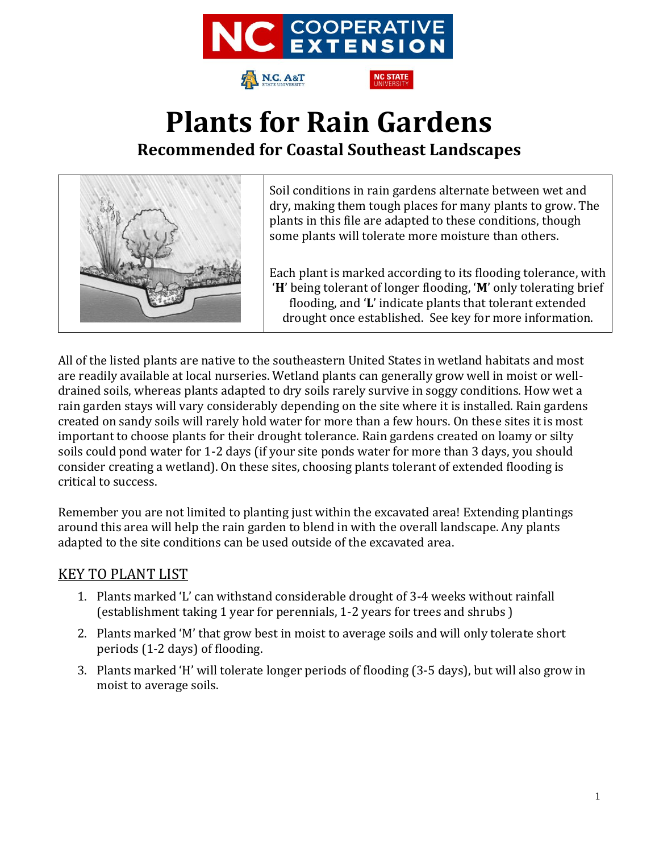

# **Plants for Rain Gardens Recommended for Coastal Southeast Landscapes**



Soil conditions in rain gardens alternate between wet and dry, making them tough places for many plants to grow. The plants in this file are adapted to these conditions, though some plants will tolerate more moisture than others.

Each plant is marked according to its flooding tolerance, with '**H**' being tolerant of longer flooding, '**M**' only tolerating brief flooding, and '**L**' indicate plants that tolerant extended drought once established. See key for more information.

All of the listed plants are native to the southeastern United States in wetland habitats and most are readily available at local nurseries. Wetland plants can generally grow well in moist or welldrained soils, whereas plants adapted to dry soils rarely survive in soggy conditions. How wet a rain garden stays will vary considerably depending on the site where it is installed. Rain gardens created on sandy soils will rarely hold water for more than a few hours. On these sites it is most important to choose plants for their drought tolerance. Rain gardens created on loamy or silty soils could pond water for 1-2 days (if your site ponds water for more than 3 days, you should consider creating a wetland). On these sites, choosing plants tolerant of extended flooding is critical to success.

Remember you are not limited to planting just within the excavated area! Extending plantings around this area will help the rain garden to blend in with the overall landscape. Any plants adapted to the site conditions can be used outside of the excavated area.

#### KEY TO PLANT LIST

- 1. Plants marked 'L' can withstand considerable drought of 3-4 weeks without rainfall (establishment taking 1 year for perennials, 1-2 years for trees and shrubs )
- 2. Plants marked 'M' that grow best in moist to average soils and will only tolerate short periods (1-2 days) of flooding.
- 3. Plants marked 'H' will tolerate longer periods of flooding (3-5 days), but will also grow in moist to average soils.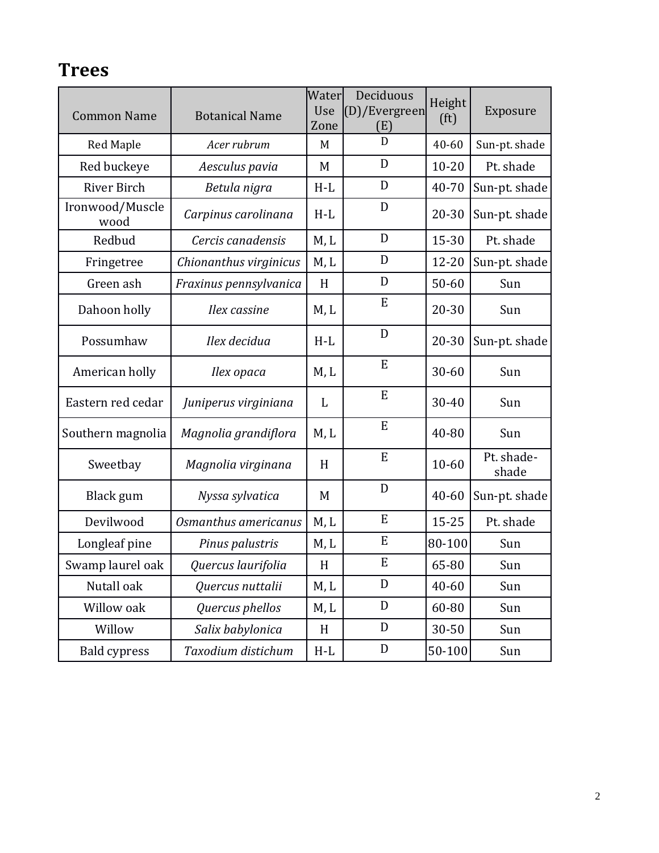#### **Trees**

| <b>Common Name</b>      | <b>Botanical Name</b>  | Water<br>Use<br>Zone | Deciduous<br>(D)/Evergreen<br>(E) | Height<br>(f <sup>t</sup> ) | Exposure            |
|-------------------------|------------------------|----------------------|-----------------------------------|-----------------------------|---------------------|
| <b>Red Maple</b>        | Acer rubrum            | M                    | D                                 | $40 - 60$                   | Sun-pt. shade       |
| Red buckeye             | Aesculus pavia         | M                    | D                                 | $10 - 20$                   | Pt. shade           |
| River Birch             | Betula nigra           | $H-L$                | D                                 | 40-70                       | Sun-pt. shade       |
| Ironwood/Muscle<br>wood | Carpinus carolinana    | $H-L$                | D                                 | 20-30                       | Sun-pt. shade       |
| Redbud                  | Cercis canadensis      | M, L                 | D                                 | 15-30                       | Pt. shade           |
| Fringetree              | Chionanthus virginicus | M, L                 | D                                 | 12-20                       | Sun-pt. shade       |
| Green ash               | Fraxinus pennsylvanica | H                    | D                                 | $50 - 60$                   | Sun                 |
| Dahoon holly            | Ilex cassine           | M, L                 | ${\bf E}$                         | $20 - 30$                   | Sun                 |
| Possumhaw               | Ilex decidua           | $H-L$                | D                                 | 20-30                       | Sun-pt. shade       |
| American holly          | Ilex opaca             | M, L                 | E                                 | $30 - 60$                   | Sun                 |
| Eastern red cedar       | Juniperus virginiana   | L                    | E                                 | 30-40                       | Sun                 |
| Southern magnolia       | Magnolia grandiflora   | M, L                 | ${\bf E}$                         | 40-80                       | Sun                 |
| Sweetbay                | Magnolia virginana     | H                    | E                                 | $10 - 60$                   | Pt. shade-<br>shade |
| Black gum               | Nyssa sylvatica        | M                    | D                                 | 40-60                       | Sun-pt. shade       |
| Devilwood               | Osmanthus americanus   | M, L                 | E                                 | $15 - 25$                   | Pt. shade           |
| Longleaf pine           | Pinus palustris        | M, L                 | E                                 | 80-100                      | Sun                 |
| Swamp laurel oak        | Quercus laurifolia     | H                    | ${\bf E}$                         | 65-80                       | Sun                 |
| Nutall oak              | Quercus nuttalii       | M, L                 | ${\rm D}$                         | 40-60                       | Sun                 |
| Willow oak              | Quercus phellos        | M, L                 | ${\mathbb D}$                     | 60-80                       | Sun                 |
| Willow                  | Salix babylonica       | H                    | ${\mathbb D}$                     | 30-50                       | Sun                 |
| <b>Bald cypress</b>     | Taxodium distichum     | $\operatorname{H-L}$ | ${\mathbb D}$                     | 50-100                      | Sun                 |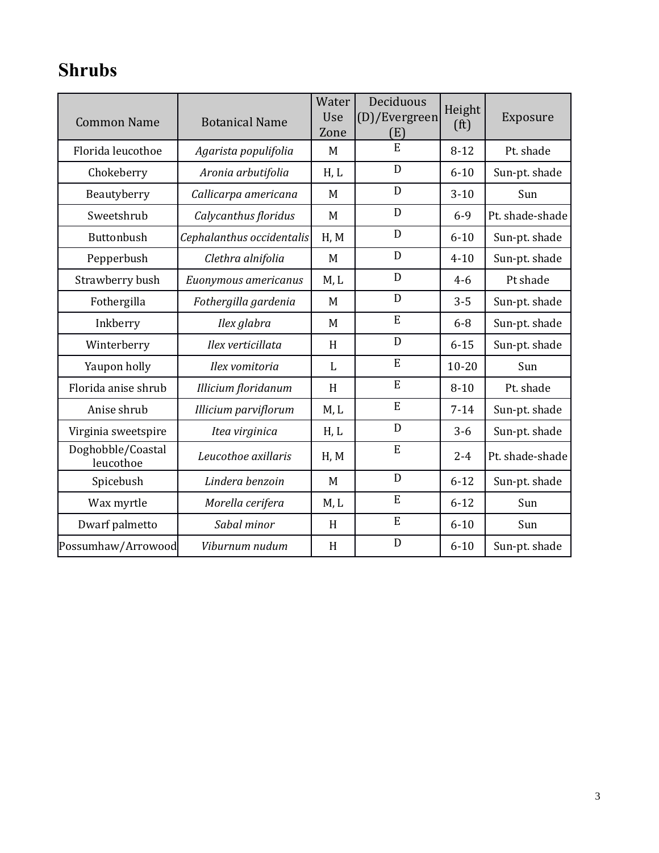## **Shrubs**

| <b>Common Name</b>             | <b>Botanical Name</b>       | Water<br>Use<br>Zone | Deciduous<br>(D)/Evergreen<br>(E) | Height<br>(f <sup>t</sup> ) | Exposure        |
|--------------------------------|-----------------------------|----------------------|-----------------------------------|-----------------------------|-----------------|
| Florida leucothoe              | Agarista populifolia        | M                    | E                                 | $8 - 12$                    | Pt. shade       |
| Chokeberry                     | Aronia arbutifolia          | H, L                 | D                                 | $6 - 10$                    | Sun-pt. shade   |
| Beautyberry                    | Callicarpa americana        | M                    | D                                 | $3 - 10$                    | Sun             |
| Sweetshrub                     | Calycanthus floridus        | M                    | D                                 | $6 - 9$                     | Pt. shade-shade |
| Buttonbush                     | Cephalanthus occidentalis   | H, M                 | D                                 | $6 - 10$                    | Sun-pt. shade   |
| Pepperbush                     | Clethra alnifolia           | M                    | D                                 | $4 - 10$                    | Sun-pt. shade   |
| Strawberry bush                | Euonymous americanus        | M, L                 | D                                 | $4-6$                       | Pt shade        |
| Fothergilla                    | Fothergilla gardenia        | M                    | D                                 | $3 - 5$                     | Sun-pt. shade   |
| Inkberry                       | Ilex glabra                 | M                    | E                                 | $6 - 8$                     | Sun-pt. shade   |
| Winterberry                    | Ilex verticillata           | H                    | D                                 | $6 - 15$                    | Sun-pt. shade   |
| Yaupon holly                   | Ilex vomitoria              | L                    | E                                 | $10 - 20$                   | Sun             |
| Florida anise shrub            | <b>Illicium floridanum</b>  | H                    | E                                 | $8 - 10$                    | Pt. shade       |
| Anise shrub                    | <b>Illicium parviflorum</b> | M, L                 | E                                 | $7 - 14$                    | Sun-pt. shade   |
| Virginia sweetspire            | Itea virginica              | H, L                 | D                                 | $3 - 6$                     | Sun-pt. shade   |
| Doghobble/Coastal<br>leucothoe | Leucothoe axillaris         | H, M                 | E                                 | $2 - 4$                     | Pt. shade-shade |
| Spicebush                      | Lindera benzoin             | M                    | D                                 | $6 - 12$                    | Sun-pt. shade   |
| Wax myrtle                     | Morella cerifera            | M, L                 | E                                 | $6 - 12$                    | Sun             |
| Dwarf palmetto                 | Sabal minor                 | H                    | E                                 | $6 - 10$                    | Sun             |
| Possumhaw/Arrowood             | Viburnum nudum              | H                    | D                                 | $6 - 10$                    | Sun-pt. shade   |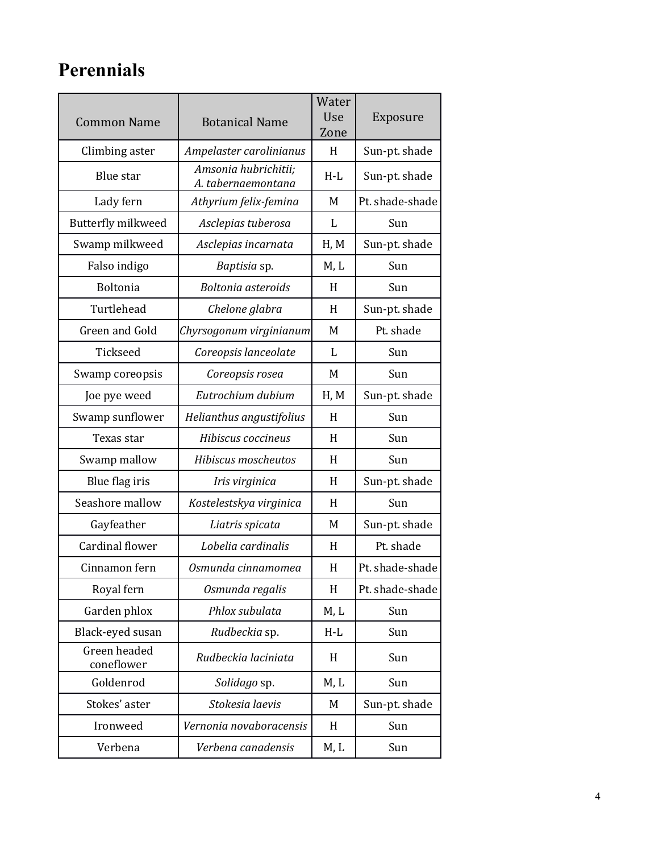## **Perennials**

| <b>Common Name</b>         | <b>Botanical Name</b>                      | Water<br>Use<br>Zone | Exposure        |
|----------------------------|--------------------------------------------|----------------------|-----------------|
| Climbing aster             | Ampelaster carolinianus                    | H                    | Sun-pt. shade   |
| <b>Blue</b> star           | Amsonia hubrichitii;<br>A. tabernaemontana | $H-L$                | Sun-pt. shade   |
| Lady fern                  | Athyrium felix-femina                      | M                    | Pt. shade-shade |
| Butterfly milkweed         | Asclepias tuberosa                         | L                    | Sun             |
| Swamp milkweed             | Asclepias incarnata                        | H, M                 | Sun-pt. shade   |
| Falso indigo               | Baptisia sp.                               | M, L                 | Sun             |
| <b>Boltonia</b>            | Boltonia asteroids                         | H                    | Sun             |
| Turtlehead                 | Chelone glabra                             | H                    | Sun-pt. shade   |
| Green and Gold             | Chyrsogonum virginianum                    | M                    | Pt. shade       |
| Tickseed                   | Coreopsis lanceolate                       | L                    | Sun             |
| Swamp coreopsis            | Coreopsis rosea                            | M                    | Sun             |
| Joe pye weed               | Eutrochium dubium                          | H, M                 | Sun-pt. shade   |
| Swamp sunflower            | Helianthus angustifolius                   | H                    | Sun             |
| Texas star                 | Hibiscus coccineus                         | H                    | Sun             |
| Swamp mallow               | Hibiscus moscheutos                        | H                    | Sun             |
| Blue flag iris             | Iris virginica                             | H                    | Sun-pt. shade   |
| Seashore mallow            | Kostelestskya virginica                    | H                    | Sun             |
| Gayfeather                 | Liatris spicata                            | M                    | Sun-pt. shade   |
| Cardinal flower            | Lobelia cardinalis                         | H                    | Pt. shade       |
| Cinnamon fern              | Osmunda cinnamomea                         | H                    | Pt. shade-shade |
| Royal fern                 | Osmunda regalis                            | H                    | Pt. shade-shade |
| Garden phlox               | Phlox subulata                             | M, L                 | Sun             |
| Black-eyed susan           | Rudbeckia sp.                              | $H-L$                | Sun             |
| Green headed<br>coneflower | Rudbeckia laciniata                        | H                    | Sun             |
| Goldenrod                  | Solidago sp.                               | M, L                 | Sun             |
| Stokes' aster              | Stokesia laevis                            | M                    | Sun-pt. shade   |
| Ironweed                   | Vernonia novaboracensis                    | H                    | Sun             |
| Verbena                    | Verbena canadensis                         | M, L                 | Sun             |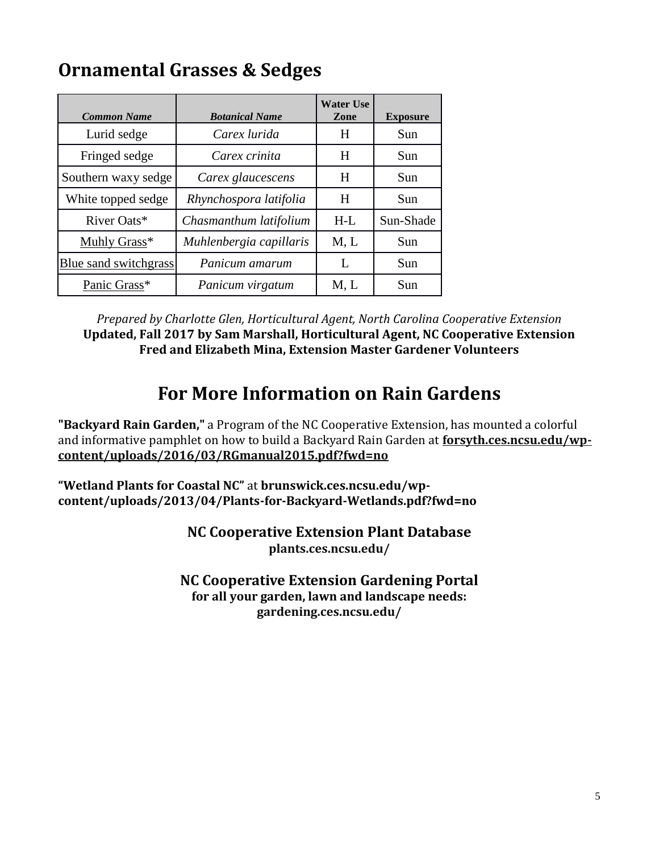### **Ornamental Grasses & Sedges**

| <b>Common Name</b>    | <b>Botanical Name</b>   | <b>Water Use</b><br>Zone | <b>Exposure</b> |
|-----------------------|-------------------------|--------------------------|-----------------|
| Lurid sedge           | Carex lurida            | H                        | Sun             |
| Fringed sedge         | Carex crinita           | H                        | Sun             |
| Southern waxy sedge   | Carex glaucescens       | H                        | Sun             |
| White topped sedge    | Rhynchospora latifolia  | H                        | Sun             |
| River Oats*           | Chasmanthum latifolium  | $H-L$                    | Sun-Shade       |
| Muhly Grass*          | Muhlenbergia capillaris | M, L                     | Sun             |
| Blue sand switchgrass | Panicum amarum          | L                        | Sun             |
| Panic Grass*          | Panicum virgatum        | M, L                     | Sun             |

*Prepared by Charlotte Glen, Horticultural Agent, North Carolina Cooperative Extension* **Updated, Fall 2017 by Sam Marshall, Horticultural Agent, NC Cooperative Extension Fred and Elizabeth Mina, Extension Master Gardener Volunteers**

#### **For More Information on Rain Gardens**

**"Backyard Rain Garden,"** a Program of the NC Cooperative Extension, has mounted a colorful and informative pamphlet on how to build a Backyard Rain Garden at **[forsyth.ces.ncsu.edu/wp](https://forsyth.ces.ncsu.edu/wp-content/uploads/2016/03/RGmanual2015.pdf?fwd=no)[content/uploads/2016/03/RGmanual2015.pdf?fwd=no](https://forsyth.ces.ncsu.edu/wp-content/uploads/2016/03/RGmanual2015.pdf?fwd=no)**

**"Wetland Plants for Coastal NC"** at **brunswick.ces.ncsu.edu/wpcontent/uploads/2013/04/Plants-for-Backyard-Wetlands.pdf?fwd=no**

> **NC Cooperative Extension Plant Database plants.ces.ncsu.edu/**

**NC Cooperative Extension Gardening Portal for all your garden, lawn and landscape needs: gardening.ces.ncsu.edu/**